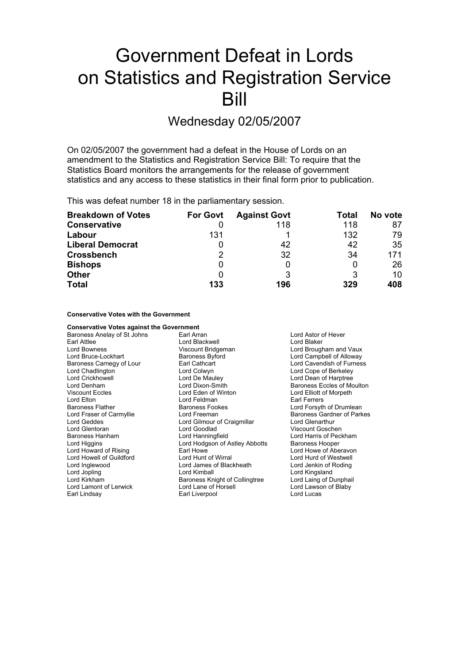# Government Defeat in Lords on Statistics and Registration Service Bill

## Wednesday 02/05/2007

On 02/05/2007 the government had a defeat in the House of Lords on an amendment to the Statistics and Registration Service Bill: To require that the Statistics Board monitors the arrangements for the release of government statistics and any access to these statistics in their final form prior to publication.

This was defeat number 18 in the parliamentary session.

| <b>Breakdown of Votes</b> | <b>For Govt</b> | <b>Against Govt</b> | Total | No vote |
|---------------------------|-----------------|---------------------|-------|---------|
| <b>Conservative</b>       |                 | 118                 | 118   | 87      |
| Labour                    | 131             |                     | 132   | 79      |
| <b>Liberal Democrat</b>   |                 | 42                  | 42    | 35      |
| <b>Crossbench</b>         | 2               | 32                  | 34    | 171     |
| <b>Bishops</b>            |                 |                     |       | 26      |
| <b>Other</b>              |                 |                     | 3     | 10      |
| <b>Total</b>              | 133             | 196                 | 329   | 408     |

## **Conservative Votes with the Government**

**Conservative Votes against the Government** Baroness Anelay of St Johns Earl Arran Earl Arran Lord Astor of Hever Earl Attlee **Communist Control Control Control Control Control Control Control Control Control Control Control Control Control Control Control Control Control Control Control Control Control Control Control Control Control** Lord Bowness **Communist Communist Communist Communist Communist Communist Communist Communist Communist Communist Communist Communist Communist Communist Communist Communist Communist Communist Communist Communist Communis** Baroness Byford **Example Example Example Example I** Cord Campbell of Alloway Baroness Carnegy of Lour Earl Cathcart Carness Carness Carnegy of Lour Cavendish of Furness<br>
Lord Chadlington Lord Colwyn Lord Colwyn Lord Cope of Berkeley Lord Chadlington **Lord Colwyn**<br>
Lord Crickhowell **Lord Lord Collect Lord Collect Lord Collect Lord Collect Lord Collect Lord Collect Lord Collect Lord Collect Lord Collect Lord Collect Lord Collect Lord Collect Lord Dean o** Lord Dean of Harptree Lord Denham Lord Dixon-Smith Baroness Eccles of Moulton Viscount Eccles Lord Eden of Winton Lord Elliott of Morpeth Lord Elton Lord Feldman Earl Ferrers Lord Forsyth of Drumlean Lord Fraser of Carmyllie **Frankling Contract Carryllie Lord Freeman** Baroness Gardner of Parkes Lord Geddes **Lord Gilmour of Craigmillar** Ford Glenarthur Lord Glentoran Lord Goodlad Viscount Goschen Baroness Hanham Lord Hanningfield Lord Harris of Peckham Lord Higgins **Lord Hooper** Lord Hodgson of Astley Abbotts **Baroness Hooper** Lord Howard of Rising **Earl Howe Lord Howe Constructs Howard Constructs** Lord Howe of Aberavon<br>
Lord Howell of Guildford **Earl Lord Hunt of Wirral** Lord Hund of Westwell Lord Howell of Guildford<br>Lord Inglewood Lord James of Blackheath Lord Jenkin of Roding Lord Jopling Lord Kimball Lord Kingsland Lord Kirkham **Baroness Knight of Collingtree** Lord Laing of Dunphail<br>
Lord Lamont of Lerwick **Right of Lord Lane of Horsell** Lord Lawson of Blaby Lord Lamont of Lerwick Earl Lindsay **Earl Liverpool** Earl Liverpool Lord Lucas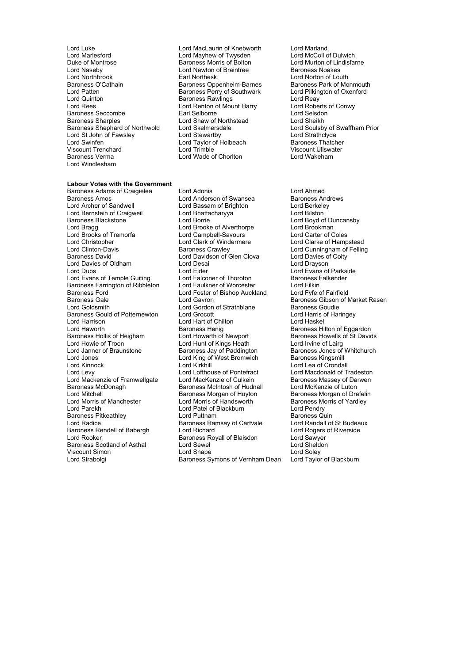- Lord Luke Lord MacLaurin of Knebworth Lord Marland<br>
Lord Marlesford Cord Maynew of Twysden Lord McColl of Dulwich Lord Marlesford **Lord Mayhew of Twysden** Lord McColl of Dulwich<br>
Duke of Montrose **Lord Music Baroness Morris of Bolton** Lord Murton of Lindisfarne Lord Naseby **Lord Newton of Braintree Lord Newton of Braintree**<br> **Lord Northbrook Carl Northesk** Lord Northbrook Earl Northesk Lord Norton of Louth Baroness O'Cathain **Baroness O'Cathain** Baroness Oppenheim-Barnes Baroness Park of Monmouth<br>
Baroness Perry of Southwark Lord Pilkington of Oxenford Lord Patten Baroness Perry of Southwark Lord Pilkington Dard Pilkington Baroness Perry of Southwark Lord Pilkington Corentation Corentation Corentation of Oxenesia Corentation Corentation Corentation Corentation Corentatio Lord Quinton **Common Common Baroness Rawlings** Exercise Common Lord Reay<br>
Lord Rees **Conwy** Lord Renton of Mount Harry Lord Roberts of Conwy Baroness Seccombe<br>Baroness Sharples Baroness Sharples Lord Shaw of Northstead Lord Sheikh Lord St John of Fawsley Lord Stewartby Lord Stewartby Lord Strathclyde<br>
Lord Taylor of Holbeach Baroness Thatcher Viscount Trenchard Lord Trimble Viscount Ullswater Lord Windlesham
	- **Baroness Morris of Bolton Lord Murton of Lindisfarm Lord Murton of Lindisfarm Lord Murton of Lindisfarm Communistry Communistry Communistry Communistry Communistry Communistry Communistry Communistry Communistry Communist** Lord Renton of Mount Harry f Lord Roberts<br>Earl Selborne f Lord Selsdon Lord Taylor of Holbeach F Baroness Thatcher<br>Lord Trimble<br>Cord Trimble Miscount Lillswater Lord Wade of Chorlton

## **Labour Votes with the Government**

Baroness Amos<br>
Lord Archer of Sandwell **Lord Bassam of Brighton**<br>
Lord Archer of Sandwell **Lord Bassam of Brighton** Lord Berkelev Lord Bernstein of Craigweil<br>Baroness Blackstone Baroness Blackstone **Exercise State Lord Borrie** Cord Borrie Lord Boyd of Duncansby<br>
Lord Bragg **Lord Booke of Alverthorpe** Lord Brookman Lord Brooks of Tremorfa **Example Lord Campbell-Savours** Lord Christopher **Carter of Coles Coles Coles Coles Coles Coles Coles Coles Coles Coles Coles Coles Coles Coles Coles Coles Coles Coles Coles Coles Coles Coles Coles** Lord Clinton-Davis **CRIOT CONTENTS** Baroness Crawley **Lord Cunningham of Felling** Baroness David Lord Davidson of Glen Clova Lord Davies of Coity Lord Davies of Oldham Lord Desai Lord Drayson Lord Dubs Lord Elder Lord Evans of Parkside Lord Evans of Temple Guiting Lord Falconer of Thoroton Baroness Falkender<br>
Baroness Farrington of Ribbleton Lord Faulkner of Worcester Lord Filkin Baroness Farrington of Ribbleton Lord Faulkner of Worcester Lord Filkin<br>Baroness Ford Fairfield Lord Foster of Bishop Auckland Lord Fyfe of Fairfield Baroness Gale **Communist Constructs Care Constructs Care Constructs** Baroness Gibson of Market Rasen<br>
Lord Goldsmith **Communist Constructs Constructs** Baroness Goudie Baroness Gould of Potternewton Lord Grocott Lord Harris Lord Harris Cord Harris Cord Harris Cord Haskel Lord Haworth **Baroness Henig** Baroness Henig Baroness Hilton of Eggardon<br>Baroness Hollis of Heigham **Baroness Howells of St David** Baroness Howells of St David Baroness Hollis of Heigham Lord Howarth of Newport Baroness Howells of St Davids<br>
Lord Howarth of Kings Heath Lord Irvine of Lairg<br>
Lord Howe of Troon Lord Howie of Troon<br>
Lord Janner of Braunstone<br>
Lord Janner of Braunstone<br>
Baroness Jav of Paddingt Lord Howie of Troon<br>
Lord Hunt of Kings Heath<br>
Lord Janner of Braunstone<br>
Lord Janner of Braunstone<br>
Lord Janness Jay of Paddington<br>
Lord Saroness Jay of Paddington<br>
Baroness Jay of Whitchurch<br>
Baroness Kingsmill Lord Jones Lord King of West Bromwich Baroness Kingsmill Lord Kinnock Lord Kirkhill Lord Lea of Crondall Lord Mackenzie of Framwellgate Lord MacKenzie of Culkein Baroness Massey of Darwen<br>Baroness McDonagh Baroness McIntosh of Hudnall Lord McKenzie of Luton Baroness McDonagh Baroness McIntosh of Hudnall<br>Lord Mitchell Lord Mitchell Corpus Baroness Morgan of Huyton Lord Morris of Manchester Lord Morris of Handsworth Baroness Morris OF Handsworth Baroness Morris of Handsworth Baroness Morris of Patel of Blackburn Baroness Pitkeathley **Communist Condite Automa**<br>Lord Radice **Communist Communist Condite Condite Condite Condite Randall of St Budeaux** Lord Radice **Baroness Ramsay of Cartvale** Baroness Rendell of Babergh Lord Richard<br>
Lord Rooker Communist Caroness Royall of Blaisdon<br>
Lord Sawyer **Baroness Scotland of Asthal** Viscount Simon **Nation 2018** Lord Snape **Lord Solet Conducts Conducts** Lord Soley<br>
Lord Strabolgi **Nation Conducts Symons of Vernham Dean** Lord Taylor of Blackburn

Baroness Adams of Craigielea Lord Adonis Lord Ahmed Lord Bassam of Brighton Lord Berkele<br>
Lord Bhattacharyya 
Lord Bilston Lord Brooke of Alverthorpe Lord Brookman<br>
Lord Campbell-Savours
Lord Carter of Coles Lord Foster of Bishop Auckland Lord Gordon of Strathblane Baroness Goudie<br>
Lord Grocott Lord Grocott Lord Harris of Haringey Lord Hart of Chilton Baroness Morgan of Huyton Baroness Morgan of Drefelin<br>
Lord Morris of Handsworth Baroness Morris of Yardley Lord Patel of Blackburn Lord Pendry<br>
Lord Puttnam Coronal Baroness Quin Baroness Royall of Blaisdon **Carl Lord Sawyer**<br>
Lord Sewel **Cord Sheldon** Baroness Symons of Vernham Dean

Lord Skelmersdale<br>
Lord Strathclyde<br>
Lord Strathclyde<br>
Lord Strathclyde

Lord Clarke of Hampstead Lord Macdonald of Tradeston